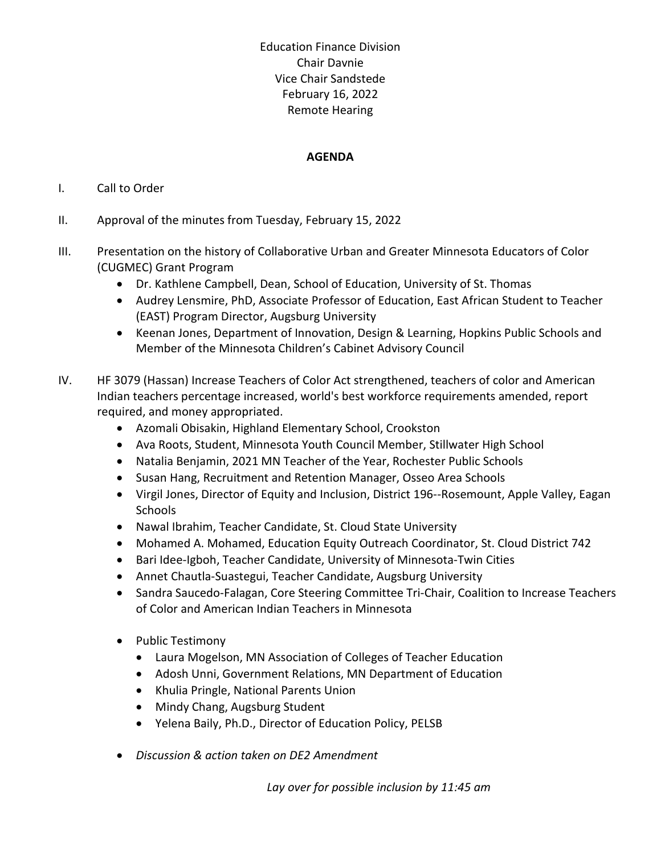Education Finance Division Chair Davnie Vice Chair Sandstede February 16, 2022 Remote Hearing

## **AGENDA**

## I. Call to Order

- II. Approval of the minutes from Tuesday, February 15, 2022
- III. Presentation on the history of Collaborative Urban and Greater Minnesota Educators of Color (CUGMEC) Grant Program
	- Dr. Kathlene Campbell, Dean, School of Education, University of St. Thomas
	- Audrey Lensmire, PhD, Associate Professor of Education, East African Student to Teacher (EAST) Program Director, Augsburg University
	- Keenan Jones, Department of Innovation, Design & Learning, Hopkins Public Schools and Member of the Minnesota Children's Cabinet Advisory Council
- IV. HF 3079 (Hassan) Increase Teachers of Color Act strengthened, teachers of color and American Indian teachers percentage increased, world's best workforce requirements amended, report required, and money appropriated.
	- Azomali Obisakin, Highland Elementary School, Crookston
	- Ava Roots, Student, Minnesota Youth Council Member, Stillwater High School
	- Natalia Benjamin, 2021 MN Teacher of the Year, Rochester Public Schools
	- Susan Hang, Recruitment and Retention Manager, Osseo Area Schools
	- Virgil Jones, Director of Equity and Inclusion, District 196--Rosemount, Apple Valley, Eagan Schools
	- Nawal Ibrahim, Teacher Candidate, St. Cloud State University
	- Mohamed A. Mohamed, Education Equity Outreach Coordinator, St. Cloud District 742
	- Bari Idee-Igboh, Teacher Candidate, University of Minnesota-Twin Cities
	- Annet Chautla-Suastegui, Teacher Candidate, Augsburg University
	- Sandra Saucedo-Falagan, Core Steering Committee Tri-Chair, Coalition to Increase Teachers of Color and American Indian Teachers in Minnesota
	- Public Testimony
		- Laura Mogelson, MN Association of Colleges of Teacher Education
		- Adosh Unni, Government Relations, MN Department of Education
		- Khulia Pringle, National Parents Union
		- Mindy Chang, Augsburg Student
		- Yelena Baily, Ph.D., Director of Education Policy, PELSB
	- *Discussion & action taken on DE2 Amendment*